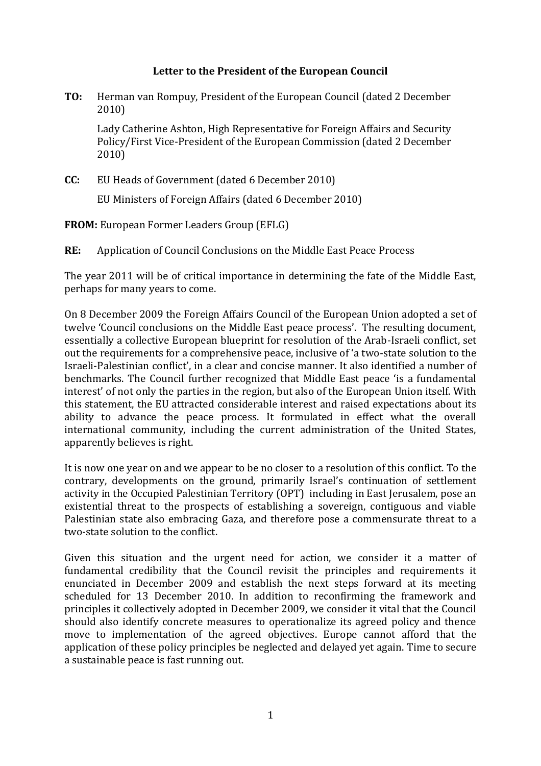## **Letter to the President of the European Council**

**TO:** Herman van Rompuy, President of the European Council (dated 2 December 2010)

Lady Catherine Ashton, High Representative for Foreign Affairs and Security Policy/First Vice-President of the European Commission (dated 2 December 2010)

**CC:** EU Heads of Government (dated 6 December 2010)

EU Ministers of Foreign Affairs (dated 6 December 2010)

**FROM:** European Former Leaders Group (EFLG)

**RE:** Application of Council Conclusions on the Middle East Peace Process

The year 2011 will be of critical importance in determining the fate of the Middle East, perhaps for many years to come.

On 8 December 2009 the Foreign Affairs Council of the European Union adopted a set of twelve 'Council conclusions on the Middle East peace process'. The resulting document, essentially a collective European blueprint for resolution of the Arab-Israeli conflict, set out the requirements for a comprehensive peace, inclusive of 'a two-state solution to the Israeli-Palestinian conflict', in a clear and concise manner. It also identified a number of benchmarks. The Council further recognized that Middle East peace 'is a fundamental interest' of not only the parties in the region, but also of the European Union itself. With this statement, the EU attracted considerable interest and raised expectations about its ability to advance the peace process. It formulated in effect what the overall international community, including the current administration of the United States, apparently believes is right.

It is now one year on and we appear to be no closer to a resolution of this conflict. To the contrary, developments on the ground, primarily Israel's continuation of settlement activity in the Occupied Palestinian Territory (OPT) including in East Jerusalem, pose an existential threat to the prospects of establishing a sovereign, contiguous and viable Palestinian state also embracing Gaza, and therefore pose a commensurate threat to a two-state solution to the conflict.

Given this situation and the urgent need for action, we consider it a matter of fundamental credibility that the Council revisit the principles and requirements it enunciated in December 2009 and establish the next steps forward at its meeting scheduled for 13 December 2010. In addition to reconfirming the framework and principles it collectively adopted in December 2009, we consider it vital that the Council should also identify concrete measures to operationalize its agreed policy and thence move to implementation of the agreed objectives. Europe cannot afford that the application of these policy principles be neglected and delayed yet again. Time to secure a sustainable peace is fast running out.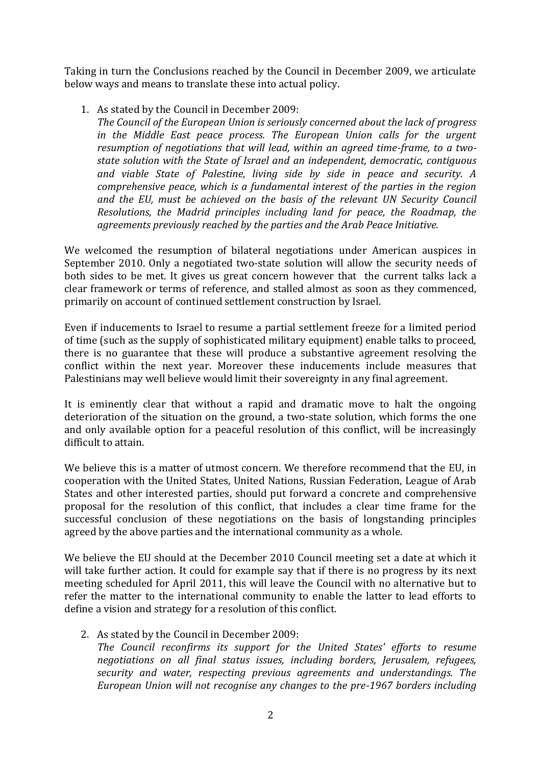Taking in turn the Conclusions reached by the Council in December 2009, we articulate below ways and means to translate these into actual policy.

1. As stated by the Council in December 2009:

*The Council of the European Union is seriously concerned about the lack of progress in the Middle East peace process. The European Union calls for the urgent resumption of negotiations that will lead, within an agreed time-frame, to a twostate solution with the State of Israel and an independent, democratic, contiguous and viable State of Palestine, living side by side in peace and security. A comprehensive peace, which is a fundamental interest of the parties in the region and the EU, must be achieved on the basis of the relevant UN Security Council Resolutions, the Madrid principles including land for peace, the Roadmap, the agreements previously reached by the parties and the Arab Peace Initiative.*

We welcomed the resumption of bilateral negotiations under American auspices in September 2010. Only a negotiated two-state solution will allow the security needs of both sides to be met. It gives us great concern however that the current talks lack a clear framework or terms of reference, and stalled almost as soon as they commenced, primarily on account of continued settlement construction by Israel.

Even if inducements to Israel to resume a partial settlement freeze for a limited period of time (such as the supply of sophisticated military equipment) enable talks to proceed, there is no guarantee that these will produce a substantive agreement resolving the conflict within the next year. Moreover these inducements include measures that Palestinians may well believe would limit their sovereignty in any final agreement.

It is eminently clear that without a rapid and dramatic move to halt the ongoing deterioration of the situation on the ground, a two-state solution, which forms the one and only available option for a peaceful resolution of this conflict, will be increasingly difficult to attain.

We believe this is a matter of utmost concern. We therefore recommend that the EU, in cooperation with the United States, United Nations, Russian Federation, League of Arab States and other interested parties, should put forward a concrete and comprehensive proposal for the resolution of this conflict, that includes a clear time frame for the successful conclusion of these negotiations on the basis of longstanding principles agreed by the above parties and the international community as a whole.

We believe the EU should at the December 2010 Council meeting set a date at which it will take further action. It could for example say that if there is no progress by its next meeting scheduled for April 2011, this will leave the Council with no alternative but to refer the matter to the international community to enable the latter to lead efforts to define a vision and strategy for a resolution of this conflict.

2. As stated by the Council in December 2009:

*The Council reconfirms its support for the United States' efforts to resume negotiations on all final status issues, including borders, Jerusalem, refugees, security and water, respecting previous agreements and understandings. The European Union will not recognise any changes to the pre-1967 borders including*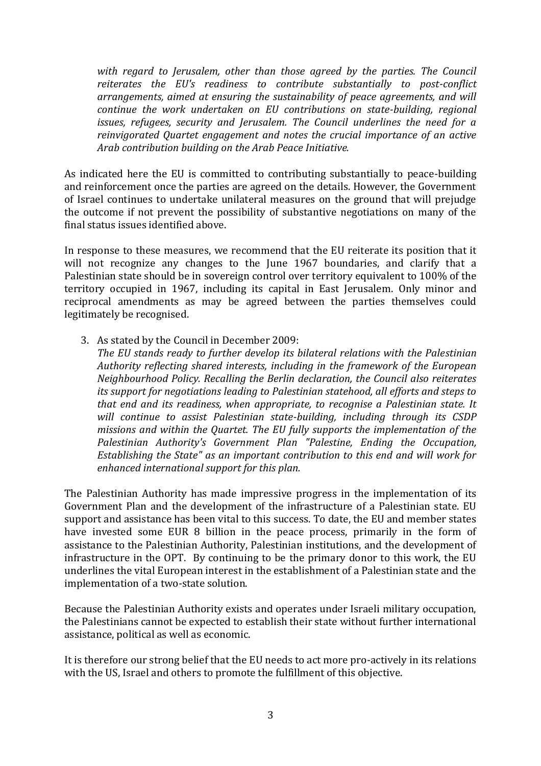*with regard to Jerusalem, other than those agreed by the parties. The Council reiterates the EU's readiness to contribute substantially to post-conflict arrangements, aimed at ensuring the sustainability of peace agreements, and will continue the work undertaken on EU contributions on state-building, regional issues, refugees, security and Jerusalem. The Council underlines the need for a reinvigorated Quartet engagement and notes the crucial importance of an active Arab contribution building on the Arab Peace Initiative.*

As indicated here the EU is committed to contributing substantially to peace-building and reinforcement once the parties are agreed on the details. However, the Government of Israel continues to undertake unilateral measures on the ground that will prejudge the outcome if not prevent the possibility of substantive negotiations on many of the final status issues identified above.

In response to these measures, we recommend that the EU reiterate its position that it will not recognize any changes to the June 1967 boundaries, and clarify that a Palestinian state should be in sovereign control over territory equivalent to 100% of the territory occupied in 1967, including its capital in East Jerusalem. Only minor and reciprocal amendments as may be agreed between the parties themselves could legitimately be recognised.

3. As stated by the Council in December 2009:

*The EU stands ready to further develop its bilateral relations with the Palestinian Authority reflecting shared interests, including in the framework of the European Neighbourhood Policy. Recalling the Berlin declaration, the Council also reiterates its support for negotiations leading to Palestinian statehood, all efforts and steps to that end and its readiness, when appropriate, to recognise a Palestinian state. It will continue to assist Palestinian state-building, including through its CSDP missions and within the Quartet. The EU fully supports the implementation of the Palestinian Authority's Government Plan "Palestine, Ending the Occupation, Establishing the State" as an important contribution to this end and will work for enhanced international support for this plan.*

The Palestinian Authority has made impressive progress in the implementation of its Government Plan and the development of the infrastructure of a Palestinian state. EU support and assistance has been vital to this success. To date, the EU and member states have invested some EUR 8 billion in the peace process, primarily in the form of assistance to the Palestinian Authority, Palestinian institutions, and the development of infrastructure in the OPT. By continuing to be the primary donor to this work, the EU underlines the vital European interest in the establishment of a Palestinian state and the implementation of a two-state solution.

Because the Palestinian Authority exists and operates under Israeli military occupation, the Palestinians cannot be expected to establish their state without further international assistance, political as well as economic.

It is therefore our strong belief that the EU needs to act more pro-actively in its relations with the US, Israel and others to promote the fulfillment of this objective.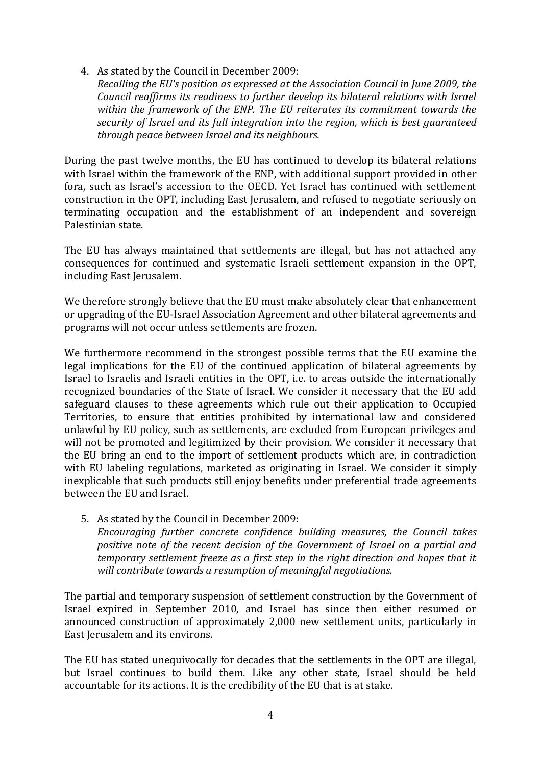*Recalling the EU's position as expressed at the Association Council in June 2009, the Council reaffirms its readiness to further develop its bilateral relations with Israel within the framework of the ENP. The EU reiterates its commitment towards the security of Israel and its full integration into the region, which is best guaranteed through peace between Israel and its neighbours.*

During the past twelve months, the EU has continued to develop its bilateral relations with Israel within the framework of the ENP, with additional support provided in other fora, such as Israel's accession to the OECD. Yet Israel has continued with settlement construction in the OPT, including East Jerusalem, and refused to negotiate seriously on terminating occupation and the establishment of an independent and sovereign Palestinian state.

The EU has always maintained that settlements are illegal, but has not attached any consequences for continued and systematic Israeli settlement expansion in the OPT, including East Jerusalem.

We therefore strongly believe that the EU must make absolutely clear that enhancement or upgrading of the EU-Israel Association Agreement and other bilateral agreements and programs will not occur unless settlements are frozen.

We furthermore recommend in the strongest possible terms that the EU examine the legal implications for the EU of the continued application of bilateral agreements by Israel to Israelis and Israeli entities in the OPT, i.e. to areas outside the internationally recognized boundaries of the State of Israel. We consider it necessary that the EU add safeguard clauses to these agreements which rule out their application to Occupied Territories, to ensure that entities prohibited by international law and considered unlawful by EU policy, such as settlements, are excluded from European privileges and will not be promoted and legitimized by their provision. We consider it necessary that the EU bring an end to the import of settlement products which are, in contradiction with EU labeling regulations, marketed as originating in Israel. We consider it simply inexplicable that such products still enjoy benefits under preferential trade agreements between the EU and Israel.

5. As stated by the Council in December 2009: *Encouraging further concrete confidence building measures, the Council takes positive note of the recent decision of the Government of Israel on a partial and temporary settlement freeze as a first step in the right direction and hopes that it will contribute towards a resumption of meaningful negotiations.*

The partial and temporary suspension of settlement construction by the Government of Israel expired in September 2010, and Israel has since then either resumed or announced construction of approximately 2,000 new settlement units, particularly in East Jerusalem and its environs.

The EU has stated unequivocally for decades that the settlements in the OPT are illegal, but Israel continues to build them. Like any other state, Israel should be held accountable for its actions. It is the credibility of the EU that is at stake.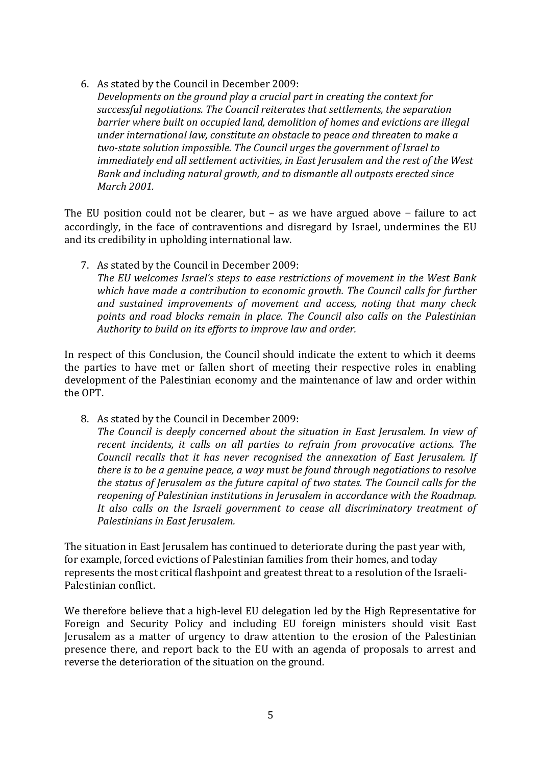*Developments on the ground play a crucial part in creating the context for successful negotiations. The Council reiterates that settlements, the separation barrier where built on occupied land, demolition of homes and evictions are illegal under international law, constitute an obstacle to peace and threaten to make a two-state solution impossible. The Council urges the government of Israel to immediately end all settlement activities, in East Jerusalem and the rest of the West Bank and including natural growth, and to dismantle all outposts erected since March 2001.*

The EU position could not be clearer, but – as we have argued above − failure to act accordingly, in the face of contraventions and disregard by Israel, undermines the EU and its credibility in upholding international law.

7. As stated by the Council in December 2009:

*The EU welcomes Israel's steps to ease restrictions of movement in the West Bank which have made a contribution to economic growth. The Council calls for further and sustained improvements of movement and access, noting that many check points and road blocks remain in place. The Council also calls on the Palestinian Authority to build on its efforts to improve law and order.*

In respect of this Conclusion, the Council should indicate the extent to which it deems the parties to have met or fallen short of meeting their respective roles in enabling development of the Palestinian economy and the maintenance of law and order within the OPT.

8. As stated by the Council in December 2009:

*The Council is deeply concerned about the situation in East Jerusalem. In view of recent incidents, it calls on all parties to refrain from provocative actions. The Council recalls that it has never recognised the annexation of East Jerusalem. If there is to be a genuine peace, a way must be found through negotiations to resolve the status of Jerusalem as the future capital of two states. The Council calls for the reopening of Palestinian institutions in Jerusalem in accordance with the Roadmap. It also calls on the Israeli government to cease all discriminatory treatment of Palestinians in East Jerusalem.*

The situation in East Jerusalem has continued to deteriorate during the past year with, for example, forced evictions of Palestinian families from their homes, and today represents the most critical flashpoint and greatest threat to a resolution of the Israeli-Palestinian conflict.

We therefore believe that a high-level EU delegation led by the High Representative for Foreign and Security Policy and including EU foreign ministers should visit East Jerusalem as a matter of urgency to draw attention to the erosion of the Palestinian presence there, and report back to the EU with an agenda of proposals to arrest and reverse the deterioration of the situation on the ground.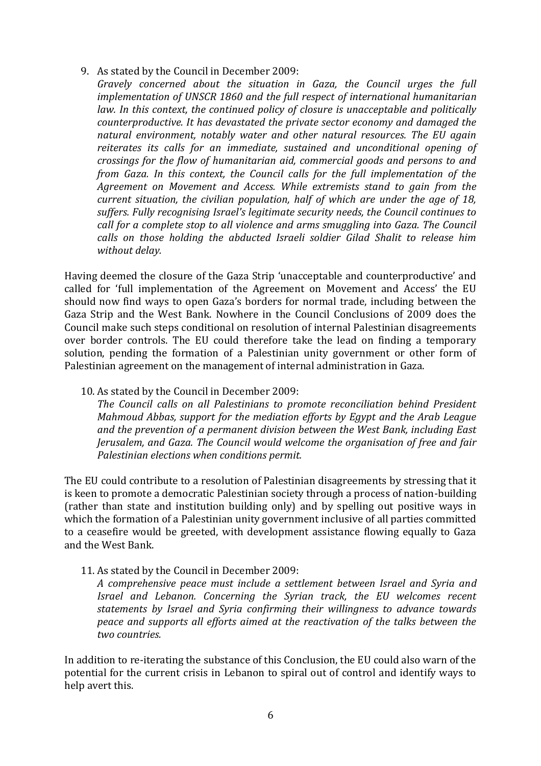*Gravely concerned about the situation in Gaza, the Council urges the full implementation of UNSCR 1860 and the full respect of international humanitarian*  law. In this context, the continued policy of closure is unacceptable and politically *counterproductive. It has devastated the private sector economy and damaged the natural environment, notably water and other natural resources. The EU again reiterates its calls for an immediate, sustained and unconditional opening of crossings for the flow of humanitarian aid, commercial goods and persons to and from Gaza. In this context, the Council calls for the full implementation of the Agreement on Movement and Access. While extremists stand to gain from the current situation, the civilian population, half of which are under the age of 18, suffers. Fully recognising Israel's legitimate security needs, the Council continues to call for a complete stop to all violence and arms smuggling into Gaza. The Council calls on those holding the abducted Israeli soldier Gilad Shalit to release him without delay.*

Having deemed the closure of the Gaza Strip 'unacceptable and counterproductive' and called for 'full implementation of the Agreement on Movement and Access' the EU should now find ways to open Gaza's borders for normal trade, including between the Gaza Strip and the West Bank. Nowhere in the Council Conclusions of 2009 does the Council make such steps conditional on resolution of internal Palestinian disagreements over border controls. The EU could therefore take the lead on finding a temporary solution, pending the formation of a Palestinian unity government or other form of Palestinian agreement on the management of internal administration in Gaza.

## 10. As stated by the Council in December 2009:

*The Council calls on all Palestinians to promote reconciliation behind President Mahmoud Abbas, support for the mediation efforts by Egypt and the Arab League and the prevention of a permanent division between the West Bank, including East Jerusalem, and Gaza. The Council would welcome the organisation of free and fair Palestinian elections when conditions permit.*

The EU could contribute to a resolution of Palestinian disagreements by stressing that it is keen to promote a democratic Palestinian society through a process of nation-building (rather than state and institution building only) and by spelling out positive ways in which the formation of a Palestinian unity government inclusive of all parties committed to a ceasefire would be greeted, with development assistance flowing equally to Gaza and the West Bank.

11. As stated by the Council in December 2009:

*A comprehensive peace must include a settlement between Israel and Syria and Israel and Lebanon. Concerning the Syrian track, the EU welcomes recent statements by Israel and Syria confirming their willingness to advance towards peace and supports all efforts aimed at the reactivation of the talks between the two countries.* 

In addition to re-iterating the substance of this Conclusion, the EU could also warn of the potential for the current crisis in Lebanon to spiral out of control and identify ways to help avert this.